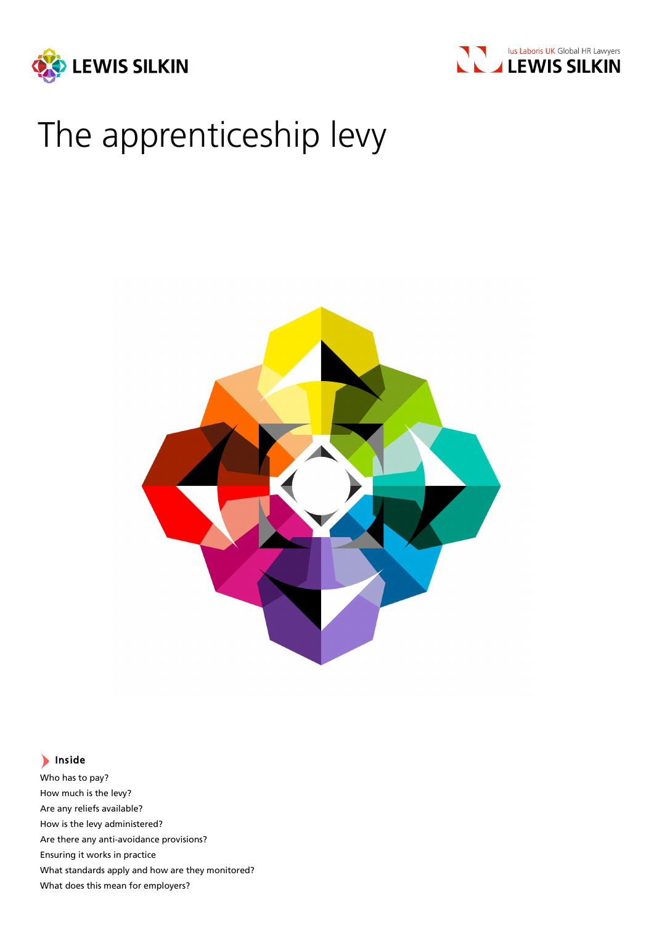



# The apprenticeship levy



### Inside

Who has to pay? How much is the levy? Are any reliefs available? How is the levy administered? Are there any anti-avoidance provisions? Ensuring it works in practice What standards apply and how are they monitored? What does this mean for employers?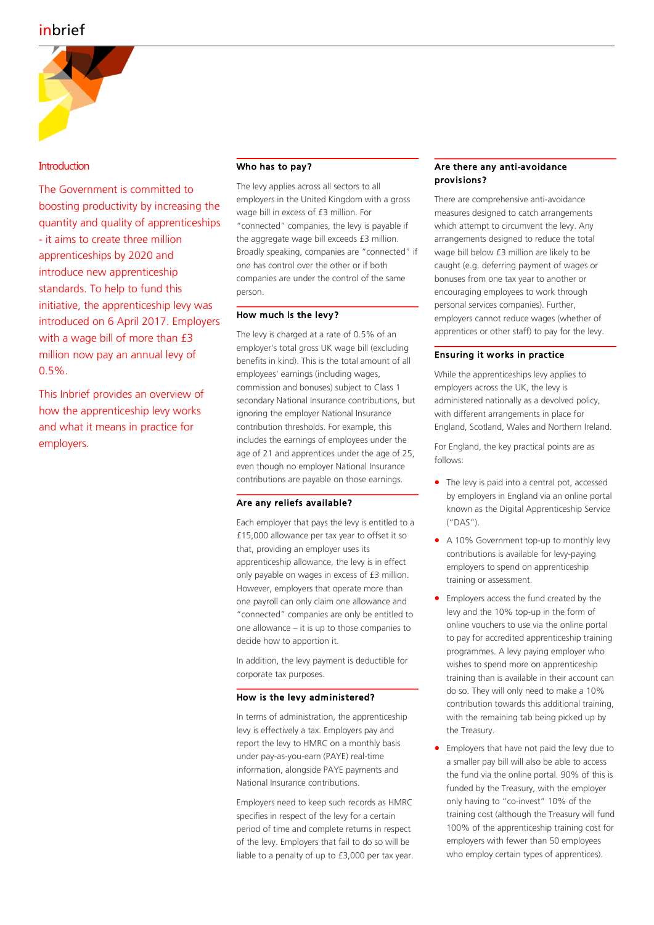

#### **Introduction**

The Government is committed to boosting productivity by increasing the quantity and quality of apprenticeships - it aims to create three million apprenticeships by 2020 and introduce new apprenticeship standards. To help to fund this initiative, the apprenticeship levy was introduced on 6 April 2017. Employers with a wage bill of more than £3 million now pay an annual levy of 0.5%.

This Inbrief provides an overview of how the apprenticeship levy works and what it means in practice for employers.

#### Who has to pay?

The levy applies across all sectors to all employers in the United Kingdom with a gross wage bill in excess of £3 million. For "connected" companies, the levy is payable if the aggregate wage bill exceeds £3 million. Broadly speaking, companies are "connected" if one has control over the other or if both companies are under the control of the same person.

#### How much is the levy?

The levy is charged at a rate of 0.5% of an employer's total gross UK wage bill (excluding benefits in kind). This is the total amount of all employees' earnings (including wages, commission and bonuses) subject to Class 1 secondary National Insurance contributions, but ignoring the employer National Insurance contribution thresholds. For example, this includes the earnings of employees under the age of 21 and apprentices under the age of 25, even though no employer National Insurance contributions are payable on those earnings.

#### Are any reliefs available?

Each employer that pays the levy is entitled to a £15,000 allowance per tax year to offset it so that, providing an employer uses its apprenticeship allowance, the levy is in effect only payable on wages in excess of £3 million. However, employers that operate more than one payroll can only claim one allowance and "connected" companies are only be entitled to one allowance – it is up to those companies to decide how to apportion it.

In addition, the levy payment is deductible for corporate tax purposes.

#### How is the levy administered?

In terms of administration, the apprenticeship levy is effectively a tax. Employers pay and report the levy to HMRC on a monthly basis under pay-as-you-earn (PAYE) real-time information, alongside PAYE payments and National Insurance contributions.

Employers need to keep such records as HMRC specifies in respect of the levy for a certain period of time and complete returns in respect of the levy. Employers that fail to do so will be liable to a penalty of up to £3,000 per tax year.

#### Are there any anti-avoidance provisions?

There are comprehensive anti-avoidance measures designed to catch arrangements which attempt to circumvent the levy. Any arrangements designed to reduce the total wage bill below £3 million are likely to be caught (e.g. deferring payment of wages or bonuses from one tax year to another or encouraging employees to work through personal services companies). Further, employers cannot reduce wages (whether of apprentices or other staff) to pay for the levy.

#### Ensuring it works in practice

While the apprenticeships levy applies to employers across the UK, the levy is administered nationally as a devolved policy, with different arrangements in place for England, Scotland, Wales and Northern Ireland.

For England, the key practical points are as follows:

- The levy is paid into a central pot, accessed by employers in England via an online portal known as the Digital Apprenticeship Service ("DAS").
- A 10% Government top-up to monthly levy contributions is available for levy-paying employers to spend on apprenticeship training or assessment.
- Employers access the fund created by the levy and the 10% top-up in the form of online vouchers to use via the online portal to pay for accredited apprenticeship training programmes. A levy paying employer who wishes to spend more on apprenticeship training than is available in their account can do so. They will only need to make a 10% contribution towards this additional training, with the remaining tab being picked up by the Treasury.
- Employers that have not paid the levy due to a smaller pay bill will also be able to access the fund via the online portal. 90% of this is funded by the Treasury, with the employer only having to "co-invest" 10% of the training cost (although the Treasury will fund 100% of the apprenticeship training cost for employers with fewer than 50 employees who employ certain types of apprentices).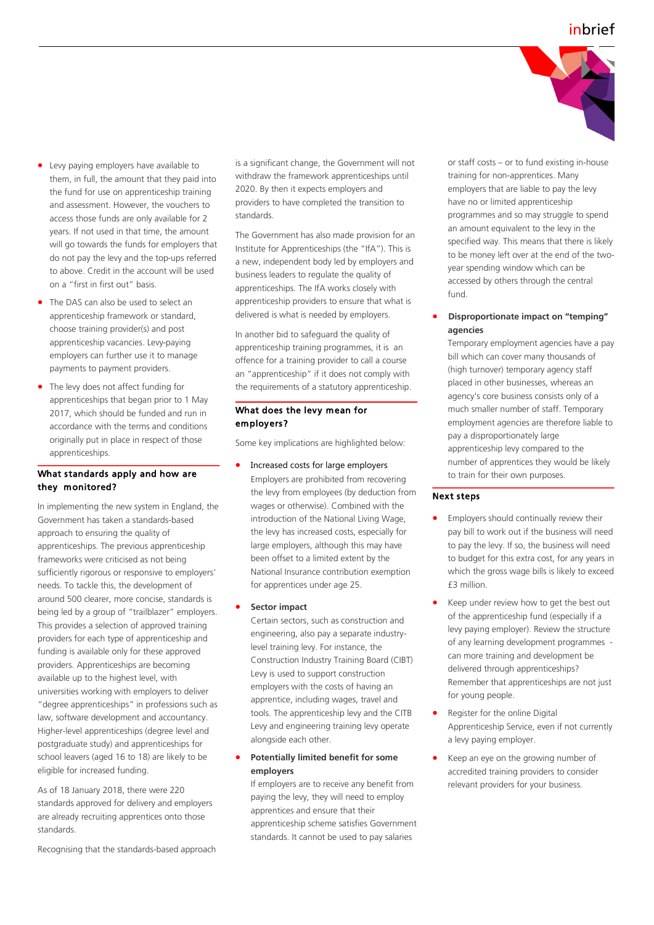

- Levy paying employers have available to them, in full, the amount that they paid into the fund for use on apprenticeship training and assessment. However, the vouchers to access those funds are only available for 2 years. If not used in that time, the amount will go towards the funds for employers that do not pay the levy and the top-ups referred to above. Credit in the account will be used on a "first in first out" basis.
- The DAS can also be used to select an apprenticeship [framework](https://www.gov.uk/government/publications/apprenticeship-frameworks-live-list) or [standard,](https://www.gov.uk/government/collections/apprenticeship-standards) choose training provider(s) and post apprenticeship vacancies. Levy-paying employers can further use it to manage payments to payment providers.
- The levy does not affect funding for apprenticeships that began prior to 1 May 2017, which should be funded and run in accordance with the terms and conditions originally put in place in respect of those apprenticeships.

#### What standards apply and how are they monitored?

In implementing the new system in England, the Government has taken a standards-based approach to ensuring the quality of apprenticeships. The previous apprenticeship frameworks were criticised as not being sufficiently rigorous or responsive to employers' needs. To tackle this, the development of around 500 clearer, more concise, standards is being led by a group of "trailblazer" employers. This provides a selection of approved training providers for each type of apprenticeship and funding is available only for these approved providers. Apprenticeships are becoming available up to the highest level, with universities working with employers to deliver "degree apprenticeships" in professions such as law, software development and accountancy. Higher-level apprenticeships (degree level and postgraduate study) and apprenticeships for school leavers (aged 16 to 18) are likely to be eligible for increased funding.

As of 18 January 2018, there were 220 standards approved for delivery and employers are already recruiting apprentices onto those standards.

Recognising that the standards-based approach

is a significant change, the Government will not withdraw the framework apprenticeships until 2020. By then it expects employers and providers to have completed the transition to standards.

The Government has also made provision for an Institute for Apprenticeships (the "IfA"). This is a new, independent body led by employers and business leaders to regulate the quality of apprenticeships. The IfA works closely with apprenticeship providers to ensure that what is delivered is what is needed by employers.

In another bid to safeguard the quality of apprenticeship training programmes, it is an offence for a training provider to call a course an "apprenticeship" if it does not comply with the requirements of a statutory apprenticeship.

#### What does the levy mean for employers?

Some key implications are highlighted below:

• Increased costs for large employers Employers are prohibited from recovering the levy from employees (by deduction from wages or otherwise). Combined with the introduction of the National Living Wage, the levy has increased costs, especially for large employers, although this may have been offset to a limited extent by the National Insurance contribution exemption for apprentices under age 25.

#### • **Sector impact**

Certain sectors, such as construction and engineering, also pay a separate industrylevel training levy. For instance, the Construction Industry Training Board (CIBT) Levy is used to support construction employers with the costs of having an apprentice, including wages, travel and tools. The apprenticeship levy and the CITB Levy and engineering training levy operate alongside each other.

#### • **Potentially limited benefit for some employers**

If employers are to receive any benefit from paying the levy, they will need to employ apprentices and ensure that their apprenticeship scheme satisfies Government standards. It cannot be used to pay salaries

or staff costs – or to fund existing in-house training for non-apprentices. Many employers that are liable to pay the levy have no or limited apprenticeship programmes and so may struggle to spend an amount equivalent to the levy in the specified way. This means that there is likely to be money left over at the end of the twoyear spending window which can be accessed by others through the central fund.

• **Disproportionate impact on "temping" agencies** 

Temporary employment agencies have a pay bill which can cover many thousands of (high turnover) temporary agency staff placed in other businesses, whereas an agency's core business consists only of a much smaller number of staff. Temporary employment agencies are therefore liable to pay a disproportionately large apprenticeship levy compared to the number of apprentices they would be likely to train for their own purposes.

#### Next steps

- Employers should continually review their pay bill to work out if the business will need to pay the levy. If so, the business will need to budget for this extra cost, for any years in which the gross wage bills is likely to exceed £3 million.
- Keep under review how to get the best out of the apprenticeship fund (especially if a levy paying employer). Review the structure of any learning development programmes can more training and development be delivered through apprenticeships? Remember that apprenticeships are not just for young people.
- Register for the online Digital Apprenticeship Service, even if not currently a levy paying employer.
- Keep an eye on the growing number of accredited training providers to consider relevant providers for your business.